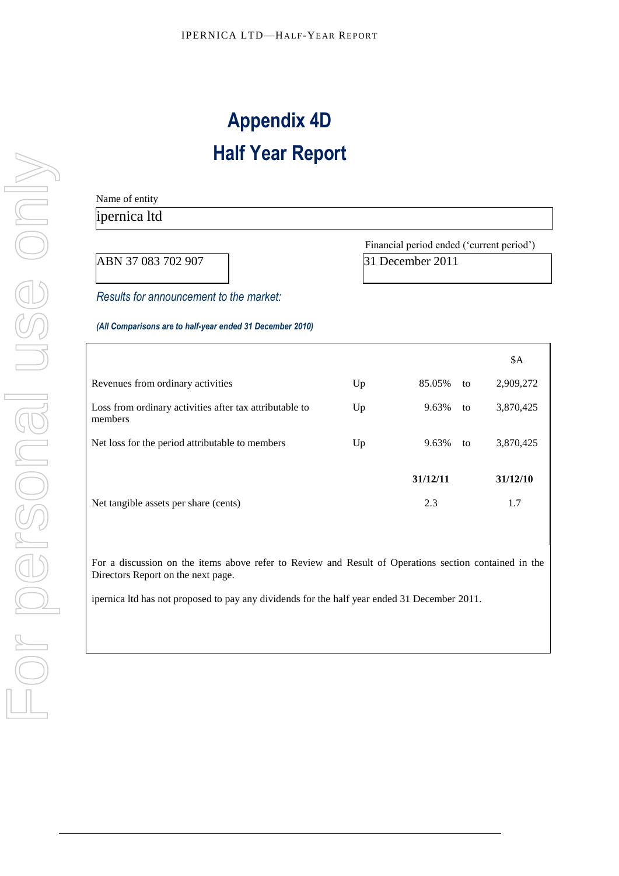# **Appendix 4D Half Year Report**

Name of entity

## ipernica ltd Financial period ended ('current period') ABN 37 083 702 907 31 December 2011 *Results for announcement to the market: (All Comparisons are to half-year ended 31 December 2010)*  \$A Revenues from ordinary activities Up 85.05% to 2,909,272 Loss from ordinary activities after tax attributable to members Up 9.63% to 3,870,425 Net loss for the period attributable to members Up 9.63% to 3,870,425 **31/12/11 31/12/10** Net tangible assets per share (cents) 2.3 1.7

For a discussion on the items above refer to Review and Result of Operations section contained in the Directors Report on the next page.

ipernica ltd has not proposed to pay any dividends for the half year ended 31 December 2011.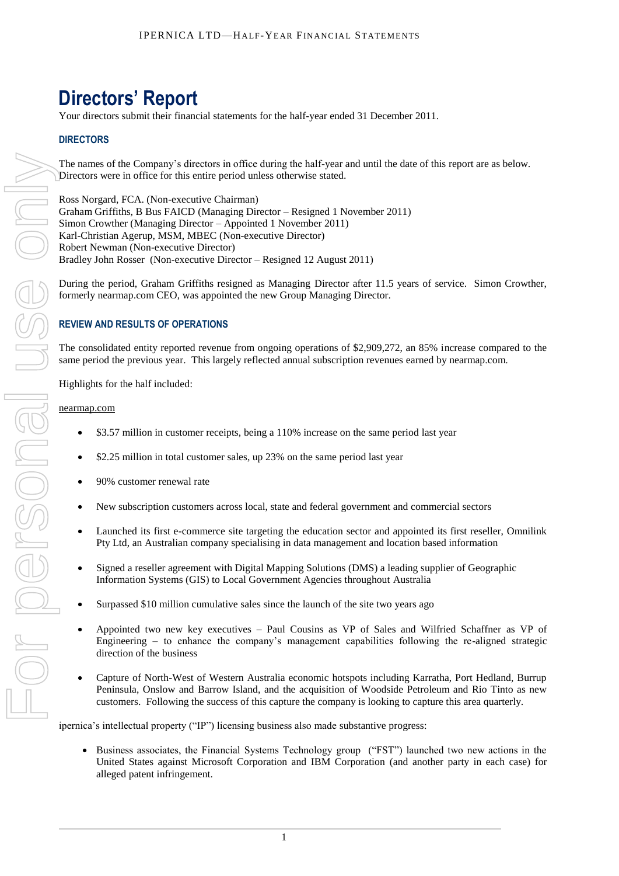# **Directors' Report**

Your directors submit their financial statements for the half-year ended 31 December 2011.

### **DIRECTORS**

The names of the Company's directors in office during the half-year and until the date of this report are as below. Directors were in office for this entire period unless otherwise stated.

Ross Norgard, FCA. (Non-executive Chairman) Graham Griffiths, B Bus FAICD (Managing Director – Resigned 1 November 2011) Simon Crowther (Managing Director – Appointed 1 November 2011) Karl-Christian Agerup, MSM, MBEC (Non-executive Director) Robert Newman (Non-executive Director) Bradley John Rosser (Non-executive Director – Resigned 12 August 2011)

During the period, Graham Griffiths resigned as Managing Director after 11.5 years of service. Simon Crowther, formerly nearmap.com CEO, was appointed the new Group Managing Director.

#### **REVIEW AND RESULTS OF OPERATIONS**

The consolidated entity reported revenue from ongoing operations of \$2,909,272, an 85% increase compared to the same period the previous year. This largely reflected annual subscription revenues earned by nearmap.com.

Highlights for the half included:

#### nearmap.com

- \$3.57 million in customer receipts, being a 110% increase on the same period last year
- \$2.25 million in total customer sales, up 23% on the same period last year
- 90% customer renewal rate
- New subscription customers across local, state and federal government and commercial sectors
- Launched its first e-commerce site targeting the education sector and appointed its first reseller, Omnilink Pty Ltd, an Australian company specialising in data management and location based information
- Signed a reseller agreement with Digital Mapping Solutions (DMS) a leading supplier of Geographic Information Systems (GIS) to Local Government Agencies throughout Australia
- Surpassed \$10 million cumulative sales since the launch of the site two years ago
- Appointed two new key executives Paul Cousins as VP of Sales and Wilfried Schaffner as VP of Engineering – to enhance the company's management capabilities following the re-aligned strategic direction of the business
- Capture of North-West of Western Australia economic hotspots including Karratha, Port Hedland, Burrup Peninsula, Onslow and Barrow Island, and the acquisition of Woodside Petroleum and Rio Tinto as new customers. Following the success of this capture the company is looking to capture this area quarterly.

ipernica's intellectual property ("IP") licensing business also made substantive progress:

Business associates, the Financial Systems Technology group ("FST") launched two new actions in the United States against Microsoft Corporation and IBM Corporation (and another party in each case) for alleged patent infringement.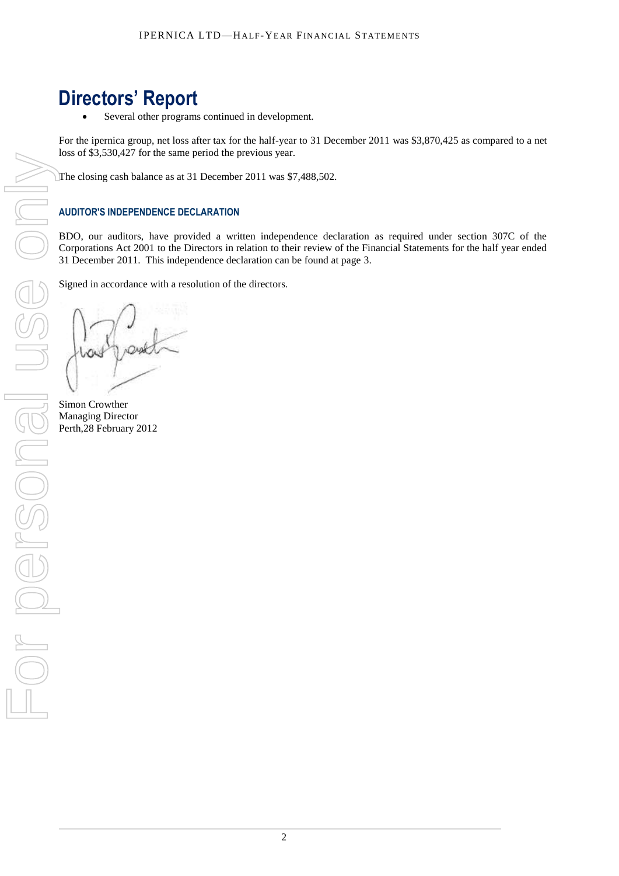## **Directors' Report**

Several other programs continued in development.

For the ipernica group, net loss after tax for the half-year to 31 December 2011 was \$3,870,425 as compared to a net loss of \$3,530,427 for the same period the previous year.

The closing cash balance as at 31 December 2011 was \$7,488,502.

### **AUDITOR'S INDEPENDENCE DECLARATION**

BDO, our auditors, have provided a written independence declaration as required under section 307C of the Corporations Act 2001 to the Directors in relation to their review of the Financial Statements for the half year ended 31 December 2011. This independence declaration can be found at page 3.

Signed in accordance with a resolution of the directors.

Simon Crowther Managing Director<br>Perth, 28 February 2012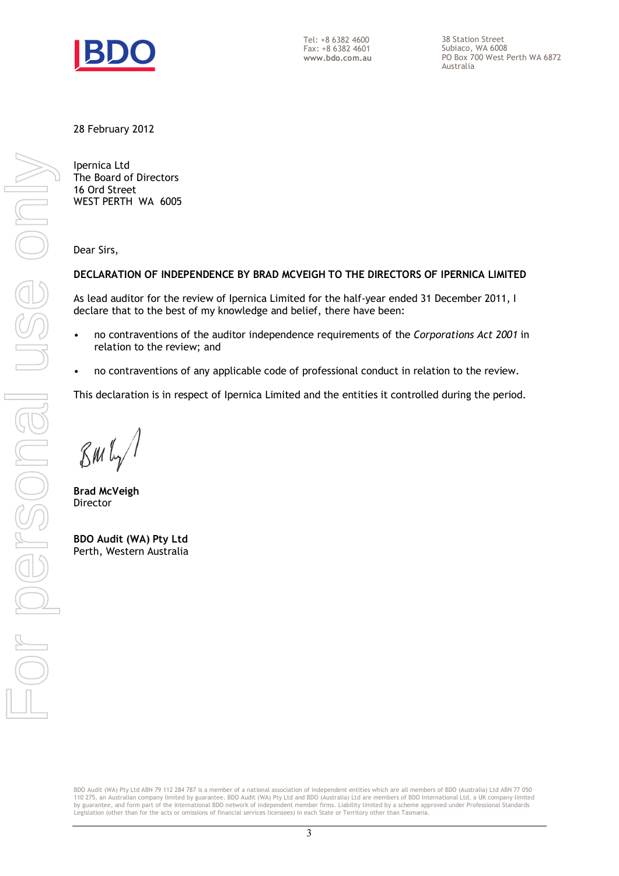

Tel: +8 6382 4600 Fax: +8 6382 4601 **www.bdo.com.au**  38 Station Street Subiaco, WA 6008 PO Box 700 West Perth WA 6872 Australia

28 February 2012

Ipernica Ltd The Board of Directors 16 Ord Street WEST PERTH WA 6005

Dear Sirs,

### **DECLARATION OF INDEPENDENCE BY BRAD MCVEIGH TO THE DIRECTORS OF IPERNICA LIMITED**

As lead auditor for the review of Ipernica Limited for the half-year ended 31 December 2011, I declare that to the best of my knowledge and belief, there have been:

- no contraventions of the auditor independence requirements of the *Corporations Act 2001* in relation to the review; and
- no contraventions of any applicable code of professional conduct in relation to the review.

This declaration is in respect of Ipernica Limited and the entities it controlled during the period.

 $\mathcal{B}$ m $\mathfrak{l}_{\gamma}$ /

**Brad McVeigh**  Director

**BDO Audit (WA) Pty Ltd** Perth, Western Australia

BDO Audit (WA) Pty Ltd ABN 79 112 284 787 is a member of a national association of independent entities which are all members of BDO (Australia) Ltd ABN 77 050<br>110 275, an Australian company limited by guarantee. BDO Audit by guarantee, and form part of the international BDO network of independent member firms. Liability limited by a scheme approved under Professional Standards Legislation (other than for the acts or omissions of financial services licensees) in each State or Territory other than Tasmania.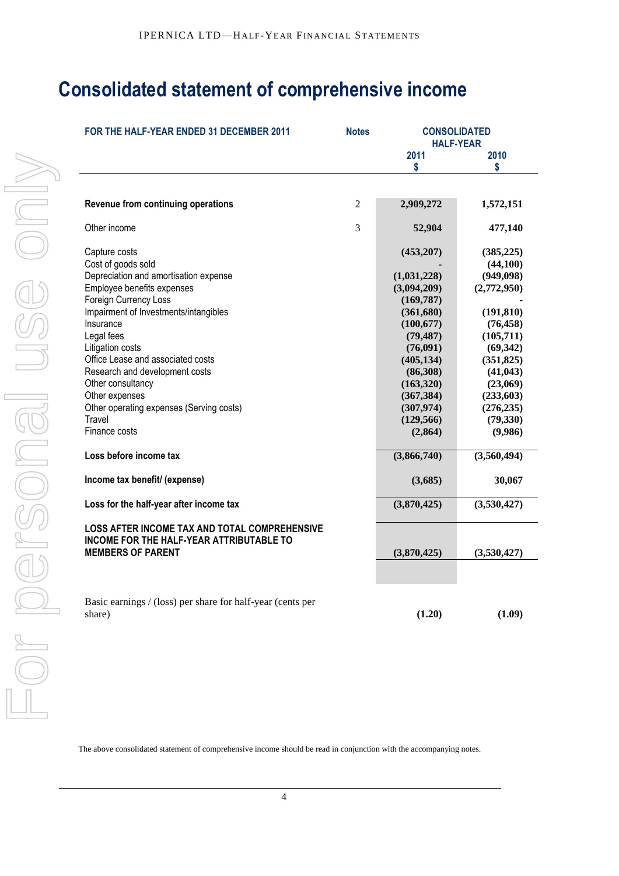# **Consolidated statement of comprehensive income**

| FOR THE HALF-YEAR ENDED 31 DECEMBER 2011                                                  | <b>Notes</b> | <b>CONSOLIDATED</b>     | <b>HALF-YEAR</b>       |
|-------------------------------------------------------------------------------------------|--------------|-------------------------|------------------------|
|                                                                                           |              | 2011<br>\$              | 2010<br>S              |
|                                                                                           |              |                         |                        |
| Revenue from continuing operations                                                        | 2            | 2,909,272               | 1,572,151              |
| Other income                                                                              | 3            | 52,904                  | 477,140                |
| Capture costs                                                                             |              | (453,207)               | (385, 225)             |
| Cost of goods sold                                                                        |              |                         | (44, 100)              |
| Depreciation and amortisation expense                                                     |              | (1,031,228)             | (949, 098)             |
| Employee benefits expenses                                                                |              | (3,094,209)             | (2,772,950)            |
| Foreign Currency Loss                                                                     |              | (169, 787)              |                        |
| Impairment of Investments/intangibles<br>Insurance                                        |              | (361, 680)              | (191, 810)             |
| Legal fees                                                                                |              | (100, 677)<br>(79, 487) | (76, 458)<br>(105,711) |
| Litigation costs                                                                          |              | (76,091)                | (69, 342)              |
| Office Lease and associated costs                                                         |              | (405, 134)              | (351, 825)             |
| Research and development costs                                                            |              | (86,308)                | (41, 043)              |
| Other consultancy                                                                         |              | (163,320)               | (23,069)               |
| Other expenses                                                                            |              | (367, 384)              | (233, 603)             |
| Other operating expenses (Serving costs)                                                  |              | (307, 974)              | (276, 235)             |
| Travel                                                                                    |              | (129, 566)              | (79, 330)              |
| Finance costs                                                                             |              | (2, 864)                | (9,986)                |
| Loss before income tax                                                                    |              | (3,866,740)             | (3,560,494)            |
| Income tax benefit/ (expense)                                                             |              | (3,685)                 | 30,067                 |
| Loss for the half-year after income tax                                                   |              | (3,870,425)             | (3,530,427)            |
| LOSS AFTER INCOME TAX AND TOTAL COMPREHENSIVE<br>INCOME FOR THE HALF-YEAR ATTRIBUTABLE TO |              |                         |                        |
| <b>MEMBERS OF PARENT</b>                                                                  |              | (3,870,425)             | (3,530,427)            |
|                                                                                           |              |                         |                        |
| Basic earnings / (loss) per share for half-year (cents per                                |              |                         |                        |
| share)                                                                                    |              | (1.20)                  | (1.09)                 |

The above consolidated statement of comprehensive income should be read in conjunction with the accompanying notes.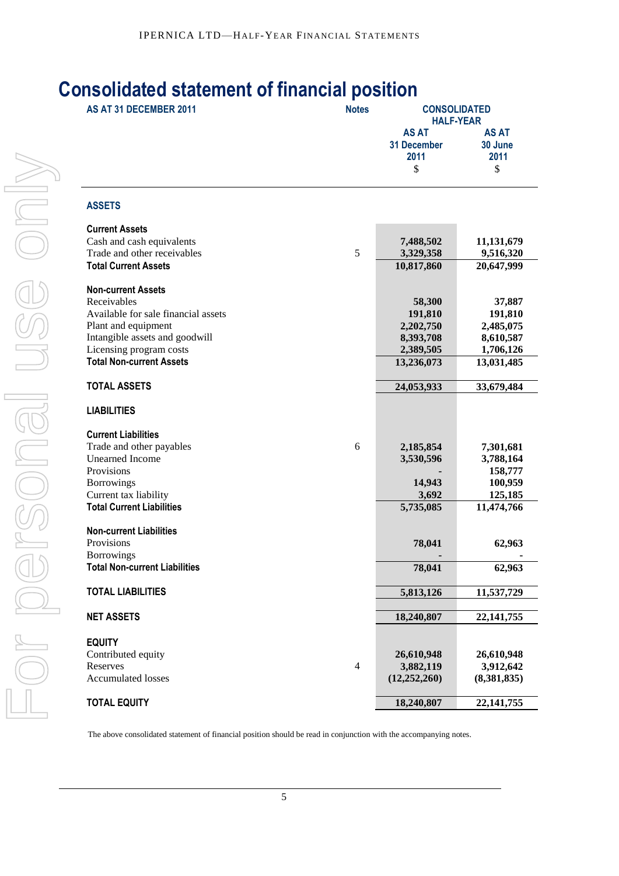## **Consolidated statement of financial position**

| AS AT 31 DECEMBER 2011                                    | <b>Notes</b>   | <b>CONSOLIDATED</b><br><b>HALF-YEAR</b>          |                                       |  |
|-----------------------------------------------------------|----------------|--------------------------------------------------|---------------------------------------|--|
|                                                           |                | <b>AS AT</b><br><b>31 December</b><br>2011<br>\$ | <b>AS AT</b><br>30 June<br>2011<br>\$ |  |
| <b>ASSETS</b>                                             |                |                                                  |                                       |  |
| <b>Current Assets</b>                                     |                |                                                  |                                       |  |
| Cash and cash equivalents                                 |                | 7,488,502                                        | 11,131,679                            |  |
| Trade and other receivables                               | 5              | 3,329,358                                        | 9,516,320                             |  |
| <b>Total Current Assets</b>                               |                | 10,817,860                                       | 20,647,999                            |  |
| <b>Non-current Assets</b>                                 |                |                                                  |                                       |  |
| Receivables                                               |                | 58,300                                           | 37,887                                |  |
| Available for sale financial assets                       |                | 191,810                                          | 191,810                               |  |
| Plant and equipment<br>Intangible assets and goodwill     |                | 2,202,750                                        | 2,485,075                             |  |
| Licensing program costs                                   |                | 8,393,708<br>2,389,505                           | 8,610,587<br>1,706,126                |  |
| <b>Total Non-current Assets</b>                           |                | 13,236,073                                       | 13,031,485                            |  |
| <b>TOTAL ASSETS</b>                                       |                | 24,053,933                                       | 33,679,484                            |  |
| <b>LIABILITIES</b>                                        |                |                                                  |                                       |  |
| <b>Current Liabilities</b>                                |                |                                                  |                                       |  |
| Trade and other payables                                  | 6              | 2,185,854                                        | 7,301,681                             |  |
| <b>Unearned Income</b>                                    |                | 3,530,596                                        | 3,788,164                             |  |
| Provisions                                                |                |                                                  | 158,777                               |  |
| <b>Borrowings</b>                                         |                | 14,943                                           | 100,959                               |  |
| Current tax liability<br><b>Total Current Liabilities</b> |                | 3,692                                            | 125,185                               |  |
|                                                           |                | 5,735,085                                        | 11,474,766                            |  |
| <b>Non-current Liabilities</b>                            |                |                                                  |                                       |  |
| Provisions                                                |                | 78,041                                           | 62,963                                |  |
| <b>Borrowings</b>                                         |                |                                                  |                                       |  |
| <b>Total Non-current Liabilities</b>                      |                | 78,041                                           | 62,963                                |  |
| <b>TOTAL LIABILITIES</b>                                  |                | 5,813,126                                        | 11,537,729                            |  |
| <b>NET ASSETS</b>                                         |                | 18,240,807                                       | 22, 141, 755                          |  |
| <b>EQUITY</b>                                             |                |                                                  |                                       |  |
| Contributed equity                                        |                | 26,610,948                                       | 26,610,948                            |  |
| Reserves                                                  | $\overline{4}$ | 3,882,119                                        | 3,912,642                             |  |
| <b>Accumulated losses</b>                                 |                | (12, 252, 260)                                   | (8,381,835)                           |  |
| <b>TOTAL EQUITY</b>                                       |                | 18,240,807                                       | 22, 141, 755                          |  |

The above consolidated statement of financial position should be read in conjunction with the accompanying notes.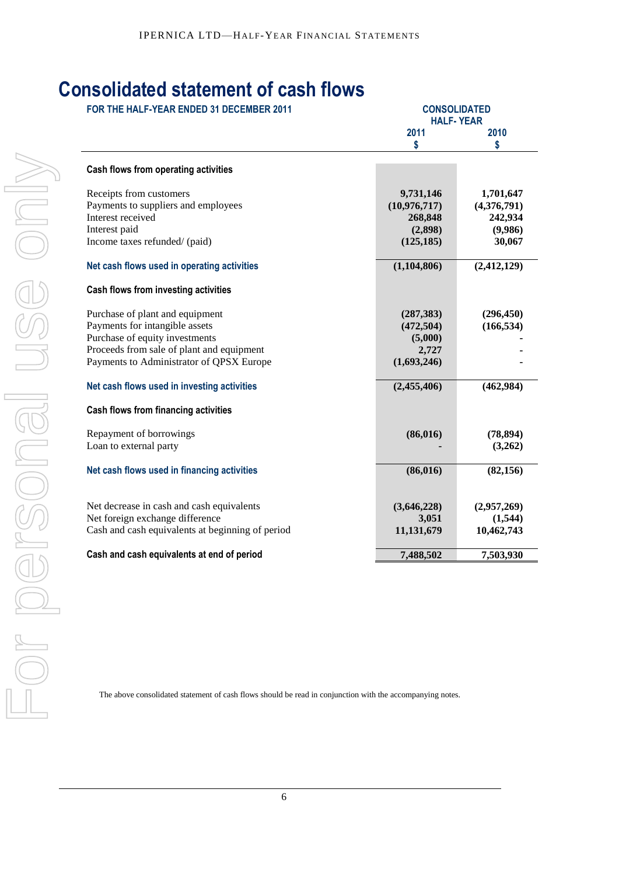## **Consolidated statement of cash flows**

| FOR THE HALF-YEAR ENDED 31 DECEMBER 2011         |              | <b>CONSOLIDATED</b><br><b>HALF-YEAR</b> |  |  |  |
|--------------------------------------------------|--------------|-----------------------------------------|--|--|--|
|                                                  | 2011         | 2010                                    |  |  |  |
|                                                  | \$           | \$                                      |  |  |  |
| Cash flows from operating activities             |              |                                         |  |  |  |
| Receipts from customers                          | 9,731,146    | 1,701,647                               |  |  |  |
| Payments to suppliers and employees              | (10,976,717) | (4,376,791)                             |  |  |  |
| Interest received                                | 268,848      | 242,934                                 |  |  |  |
| Interest paid                                    | (2,898)      | (9,986)                                 |  |  |  |
| Income taxes refunded/ (paid)                    | (125, 185)   | 30,067                                  |  |  |  |
| Net cash flows used in operating activities      | (1,104,806)  | (2, 412, 129)                           |  |  |  |
| Cash flows from investing activities             |              |                                         |  |  |  |
| Purchase of plant and equipment                  | (287, 383)   | (296, 450)                              |  |  |  |
| Payments for intangible assets                   | (472, 504)   | (166, 534)                              |  |  |  |
| Purchase of equity investments                   | (5,000)      |                                         |  |  |  |
| Proceeds from sale of plant and equipment        | 2,727        |                                         |  |  |  |
| Payments to Administrator of QPSX Europe         | (1,693,246)  |                                         |  |  |  |
| Net cash flows used in investing activities      | (2,455,406)  | (462,984)                               |  |  |  |
| Cash flows from financing activities             |              |                                         |  |  |  |
| Repayment of borrowings                          | (86, 016)    | (78, 894)                               |  |  |  |
| Loan to external party                           |              | (3,262)                                 |  |  |  |
|                                                  |              |                                         |  |  |  |
| Net cash flows used in financing activities      | (86, 016)    | (82, 156)                               |  |  |  |
| Net decrease in cash and cash equivalents        | (3,646,228)  | (2,957,269)                             |  |  |  |
| Net foreign exchange difference                  | 3,051        | (1,544)                                 |  |  |  |
| Cash and cash equivalents at beginning of period | 11,131,679   | 10,462,743                              |  |  |  |
| Cash and cash equivalents at end of period       | 7,488,502    | 7,503,930                               |  |  |  |

The above consolidated statement of cash flows should be read in conjunction with the accompanying notes.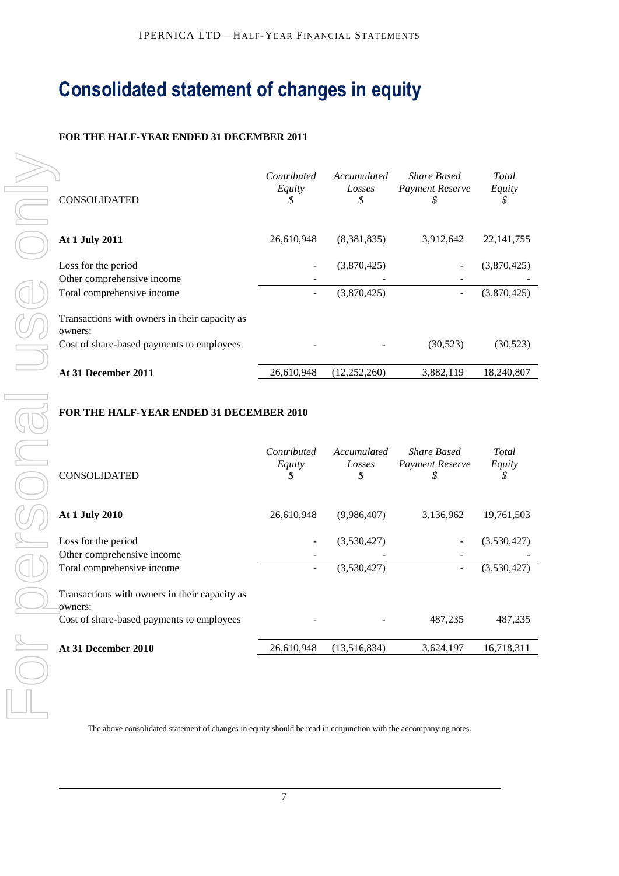# **Consolidated statement of changes in equity**

### **FOR THE HALF-YEAR ENDED 31 DECEMBER 2011**

| <b>CONSOLIDATED</b>                                      | Contributed<br>Equity<br>\$ | Accumulated<br>Losses<br>\$ | <b>Share Based</b><br><b>Payment Reserve</b><br>S | Total<br>Equity<br>\$ |
|----------------------------------------------------------|-----------------------------|-----------------------------|---------------------------------------------------|-----------------------|
| At 1 July 2011                                           | 26,610,948                  | (8,381,835)                 | 3,912,642                                         | 22, 141, 755          |
| Loss for the period<br>Other comprehensive income        |                             | (3,870,425)                 |                                                   | (3,870,425)           |
| Total comprehensive income                               | -                           | (3,870,425)                 |                                                   | (3,870,425)           |
| Transactions with owners in their capacity as<br>owners: |                             |                             |                                                   |                       |
| Cost of share-based payments to employees                |                             |                             | (30, 523)                                         | (30,523)              |
| At 31 December 2011                                      | 26,610,948                  | (12, 252, 260)              | 3,882,119                                         | 18,240,807            |

### **FOR THE HALF-YEAR ENDED 31 DECEMBER 2010**

| CONSOLIDATED                                                                                          | Contributed<br>Equity<br>\$ | Accumulated<br>Losses<br>\$ | <b>Share Based</b><br>Payment Reserve<br>S  | Total<br>Equity<br>\$      |
|-------------------------------------------------------------------------------------------------------|-----------------------------|-----------------------------|---------------------------------------------|----------------------------|
| At 1 July 2011                                                                                        | 26,610,948                  | (8,381,835)                 | 3,912,642                                   | 22, 141, 755               |
| Loss for the period<br>Other comprehensive income<br>Total comprehensive income                       |                             | (3,870,425)<br>(3,870,425)  |                                             | (3,870,425)<br>(3,870,425) |
| Transactions with owners in their capacity as<br>owners:<br>Cost of share-based payments to employees |                             |                             | (30,523)                                    | (30,523)                   |
| At 31 December 2011                                                                                   | 26,610,948                  | (12, 252, 260)              | 3,882,119                                   | 18,240,807                 |
| FOR THE HALF-YEAR ENDED 31 DECEMBER 2010                                                              |                             |                             |                                             |                            |
| CONSOLIDATED                                                                                          | Contributed<br>Equity<br>\$ | Accumulated<br>Losses<br>\$ | <b>Share Based</b><br>Payment Reserve<br>\$ | Total<br>Equity<br>\$      |
| At 1 July 2010                                                                                        | 26,610,948                  | (9,986,407)                 | 3,136,962                                   | 19,761,503                 |
| Loss for the period                                                                                   |                             | (3,530,427)                 |                                             | (3,530,427)                |
| Other comprehensive income<br>Total comprehensive income                                              |                             | (3,530,427)                 | $\overline{a}$                              | (3,530,427)                |
| Transactions with owners in their capacity as<br>owners:                                              |                             |                             |                                             |                            |
| Cost of share-based payments to employees                                                             |                             |                             | 487,235                                     | 487,235                    |
| At 31 December 2010                                                                                   | 26,610,948                  | (13,516,834)                | 3,624,197                                   | 16,718,311                 |

The above consolidated statement of changes in equity should be read in conjunction with the accompanying notes.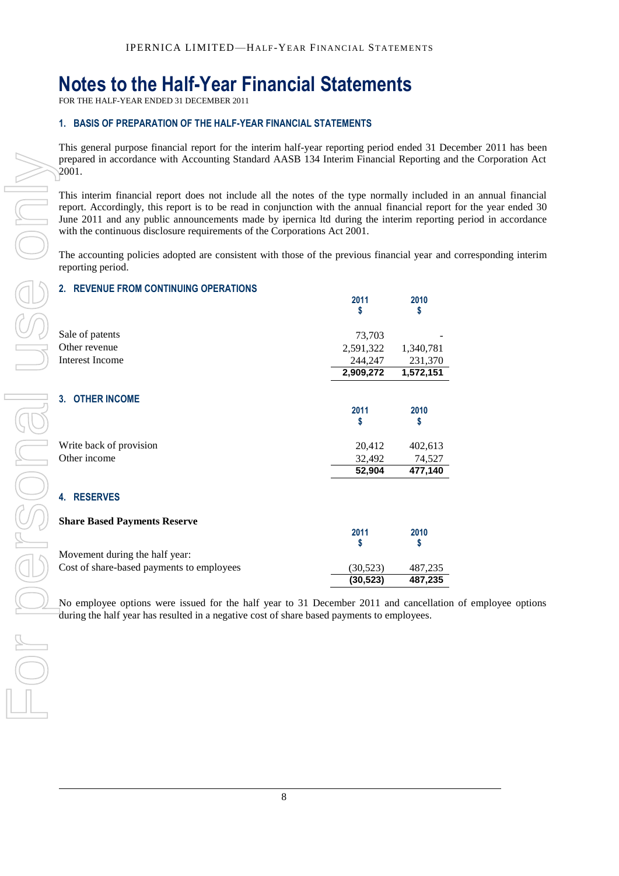# **Notes to the Half-Year Financial Statements**

FOR THE HALF-YEAR ENDED 31 DECEMBER 2011

### **1. BASIS OF PREPARATION OF THE HALF-YEAR FINANCIAL STATEMENTS**

This general purpose financial report for the interim half-year reporting period ended 31 December 2011 has been prepared in accordance with Accounting Standard AASB 134 Interim Financial Reporting and the Corporation Act 2001.

This interim financial report does not include all the notes of the type normally included in an annual financial report. Accordingly, this report is to be read in conjunction with the annual financial report for the year ended 30 June 2011 and any public announcements made by ipernica ltd during the interim reporting period in accordance with the continuous disclosure requirements of the Corporations Act 2001.

The accounting policies adopted are consistent with those of the previous financial year and corresponding interim reporting period.

### **2. REVENUE FROM CONTINUING OPERATIONS**

|  | prepared in accordance with Accounting Standard AASB 134 Interim Financial Reporting an<br>2001.                                                                                                                                                                                                                                                                     |                     |           |
|--|----------------------------------------------------------------------------------------------------------------------------------------------------------------------------------------------------------------------------------------------------------------------------------------------------------------------------------------------------------------------|---------------------|-----------|
|  | This interim financial report does not include all the notes of the type normally included<br>report. Accordingly, this report is to be read in conjunction with the annual financial report<br>June 2011 and any public announcements made by ipernica ltd during the interim reportin<br>with the continuous disclosure requirements of the Corporations Act 2001. |                     |           |
|  | The accounting policies adopted are consistent with those of the previous financial year and<br>reporting period.                                                                                                                                                                                                                                                    |                     |           |
|  | 2. REVENUE FROM CONTINUING OPERATIONS                                                                                                                                                                                                                                                                                                                                |                     |           |
|  |                                                                                                                                                                                                                                                                                                                                                                      | 2011                | 2010      |
|  |                                                                                                                                                                                                                                                                                                                                                                      | S                   | S         |
|  | Sale of patents                                                                                                                                                                                                                                                                                                                                                      |                     |           |
|  | Other revenue                                                                                                                                                                                                                                                                                                                                                        | 73,703<br>2,591,322 | 1,340,781 |
|  | <b>Interest Income</b>                                                                                                                                                                                                                                                                                                                                               | 244,247             | 231,370   |
|  |                                                                                                                                                                                                                                                                                                                                                                      | 2,909,272           | 1,572,151 |
|  |                                                                                                                                                                                                                                                                                                                                                                      |                     |           |
|  | 3. OTHER INCOME                                                                                                                                                                                                                                                                                                                                                      |                     |           |
|  |                                                                                                                                                                                                                                                                                                                                                                      | 2011                | 2010      |
|  |                                                                                                                                                                                                                                                                                                                                                                      | S                   | \$        |
|  | Write back of provision                                                                                                                                                                                                                                                                                                                                              | 20,412              | 402,613   |
|  | Other income                                                                                                                                                                                                                                                                                                                                                         | 32,492              | 74,527    |
|  |                                                                                                                                                                                                                                                                                                                                                                      | 52,904              | 477,140   |
|  |                                                                                                                                                                                                                                                                                                                                                                      |                     |           |
|  | 4. RESERVES                                                                                                                                                                                                                                                                                                                                                          |                     |           |
|  |                                                                                                                                                                                                                                                                                                                                                                      |                     |           |
|  | <b>Share Based Payments Reserve</b>                                                                                                                                                                                                                                                                                                                                  | 2011                | 2010      |
|  |                                                                                                                                                                                                                                                                                                                                                                      | S                   | \$        |
|  | Movement during the half year:                                                                                                                                                                                                                                                                                                                                       |                     |           |
|  | Cost of share-based payments to employees                                                                                                                                                                                                                                                                                                                            | (30, 523)           | 487,235   |
|  |                                                                                                                                                                                                                                                                                                                                                                      | (30, 523)           | 487,235   |
|  | No employee options were issued for the half year to 31 December 2011 and cancellatio<br>during the half year has resulted in a negative cost of share based payments to employees.                                                                                                                                                                                  |                     |           |
|  |                                                                                                                                                                                                                                                                                                                                                                      |                     |           |
|  |                                                                                                                                                                                                                                                                                                                                                                      |                     |           |
|  |                                                                                                                                                                                                                                                                                                                                                                      |                     |           |
|  |                                                                                                                                                                                                                                                                                                                                                                      |                     |           |
|  |                                                                                                                                                                                                                                                                                                                                                                      |                     |           |
|  |                                                                                                                                                                                                                                                                                                                                                                      |                     |           |
|  |                                                                                                                                                                                                                                                                                                                                                                      |                     |           |

No employee options were issued for the half year to 31 December 2011 and cancellation of employee options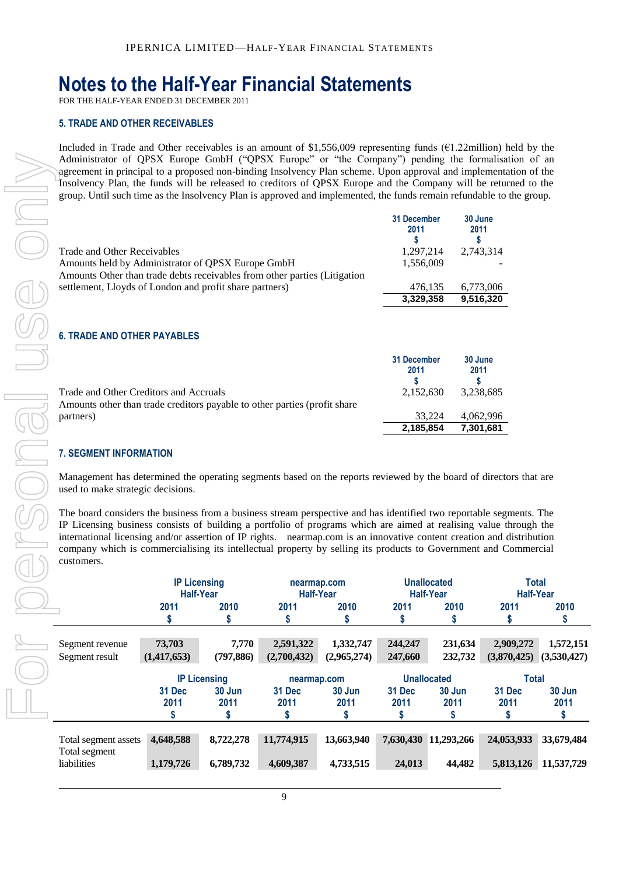### **Notes to the Half-Year Financial Statements**

FOR THE HALF-YEAR ENDED 31 DECEMBER 2011

#### **5. TRADE AND OTHER RECEIVABLES**

Included in Trade and Other receivables is an amount of \$1,556,009 representing funds (€1.22million) held by the Administrator of QPSX Europe GmbH ("QPSX Europe" or "the Company") pending the formalisation of an agreement in principal to a proposed non-binding Insolvency Plan scheme. Upon approval and implementation of the Insolvency Plan, the funds will be released to creditors of QPSX Europe and the Company will be returned to the group. Until such time as the Insolvency Plan is approved and implemented, the funds remain refundable to the group.

|                                                                                                                                | 31 December<br>2011 | 30 June<br>2011 |
|--------------------------------------------------------------------------------------------------------------------------------|---------------------|-----------------|
| Trade and Other Receivables                                                                                                    | 1,297,214           | 2,743,314       |
| Amounts held by Administrator of OPSX Europe GmbH<br>Amounts Other than trade debts receivables from other parties (Litigation | 1,556,009           |                 |
| settlement, Lloyds of London and profit share partners)                                                                        | 476,135             | 6,773,006       |
|                                                                                                                                | 3,329,358           | 9.516.320       |

### **6. TRADE AND OTHER PAYABLES**

|                                                                                                                     | 31 December<br>2011 | 30 June<br>2011 |
|---------------------------------------------------------------------------------------------------------------------|---------------------|-----------------|
| Trade and Other Creditors and Accruals<br>Amounts other than trade creditors payable to other parties (profit share | 2.152.630           | 3,238,685       |
| partners)                                                                                                           | 33.224              | 4.062.996       |
|                                                                                                                     | 2.185.854           | 7.301.681       |

#### **7. SEGMENT INFORMATION**

| Total segment assets<br>Total segment<br>liabilities                                                                                                                                                                                                                                                                                                                                                                                                                                                                                                                                                                                                         | 4,648,588<br>1,179,726                                                                                                                                                                    | 8,722,278<br>6,789,732                      | 11,774,915<br>4,609,387             | 13,663,940<br>4,733,515  | 24,013                                | 7,630,430 11,293,266<br>44,482                   | 24,053,933<br>5,813,126              | 33,679,484<br>11,537,729                 |
|--------------------------------------------------------------------------------------------------------------------------------------------------------------------------------------------------------------------------------------------------------------------------------------------------------------------------------------------------------------------------------------------------------------------------------------------------------------------------------------------------------------------------------------------------------------------------------------------------------------------------------------------------------------|-------------------------------------------------------------------------------------------------------------------------------------------------------------------------------------------|---------------------------------------------|-------------------------------------|--------------------------|---------------------------------------|--------------------------------------------------|--------------------------------------|------------------------------------------|
|                                                                                                                                                                                                                                                                                                                                                                                                                                                                                                                                                                                                                                                              | 31 Dec<br>2011<br>\$                                                                                                                                                                      | <b>IP Licensing</b><br>30 Jun<br>2011<br>\$ | nearmap.com<br>31 Dec<br>2011<br>\$ | 30 Jun<br>2011<br>\$     | 31 Dec<br>2011<br>\$                  | <b>Unallocated</b><br>30 Jun<br>2011<br>\$       | <b>Total</b><br>31 Dec<br>2011<br>\$ | 30 Jun<br>2011<br>\$                     |
| Segment revenue<br>Segment result                                                                                                                                                                                                                                                                                                                                                                                                                                                                                                                                                                                                                            | 73,703<br>(1,417,653)                                                                                                                                                                     | 7,770<br>(797, 886)                         | 2,591,322<br>(2,700,432)            | 1,332,747<br>(2,965,274) | 244,247<br>247,660                    | 231,634<br>232,732                               | 2,909,272                            | 1,572,151<br>$(3,870,425)$ $(3,530,427)$ |
|                                                                                                                                                                                                                                                                                                                                                                                                                                                                                                                                                                                                                                                              | <b>Half-Year</b><br>2011<br>S                                                                                                                                                             | 2010<br>S                                   | <b>Half-Year</b><br>2011<br>\$      | 2010<br>S                | 2011<br>S                             | <b>Half-Year</b><br>2010<br>S                    | <b>Half-Year</b><br>2011<br>S        | 2010<br>S                                |
| Management has determined the operating segments based on the reports reviewed by the board of directors that are<br>used to make strategic decisions.<br>The board considers the business from a business stream perspective and has identified two reportable segments. The<br>IP Licensing business consists of building a portfolio of programs which are aimed at realising value through the<br>international licensing and/or assertion of IP rights. nearmap.com is an innovative content creation and distribution<br>company which is commercialising its intellectual property by selling its products to Government and Commercial<br>customers. | <b>IP Licensing</b>                                                                                                                                                                       |                                             | nearmap.com                         |                          |                                       | <b>Unallocated</b>                               | <b>Total</b>                         |                                          |
| Trade and Other Creditors and Accruals<br>Amounts other than trade creditors payable to other parties (profit share<br>partners)<br><b>7. SEGMENT INFORMATION</b>                                                                                                                                                                                                                                                                                                                                                                                                                                                                                            |                                                                                                                                                                                           |                                             |                                     |                          |                                       | 33,224<br>2,185,854                              | 4,062,996<br>7,301,681               |                                          |
| <b>6. TRADE AND OTHER PAYABLES</b>                                                                                                                                                                                                                                                                                                                                                                                                                                                                                                                                                                                                                           |                                                                                                                                                                                           |                                             |                                     |                          | 31 December<br>2011<br>s<br>2,152,630 | 30 June<br>2011<br>S                             | 3,238,685                            |                                          |
|                                                                                                                                                                                                                                                                                                                                                                                                                                                                                                                                                                                                                                                              | Amounts held by Administrator of QPSX Europe GmbH<br>Amounts Other than trade debts receivables from other parties (Litigation<br>settlement, Lloyds of London and profit share partners) |                                             |                                     |                          |                                       | 1,556,009<br>476,135<br>3,329,358                | 6,773,006<br>9,516,320               |                                          |
| Trade and Other Receivables                                                                                                                                                                                                                                                                                                                                                                                                                                                                                                                                                                                                                                  |                                                                                                                                                                                           |                                             |                                     |                          |                                       | 31 December<br>30 June<br>2011<br>S<br>1,297,214 | 2,743,314                            |                                          |
| Administrator of QPSX Europe GmbH ("QPSX Europe" or "the Company") pending the formalisation of an<br>agreement in principal to a proposed non-binding Insolvency Plan scheme. Upon approval and implementation of the<br>Insolvency Plan, the funds will be released to creditors of QPSX Europe and the Company will be returned to the<br>group. Until such time as the Insolvency Plan is approved and implemented, the funds remain refundable to the group.                                                                                                                                                                                            |                                                                                                                                                                                           |                                             |                                     |                          |                                       |                                                  |                                      |                                          |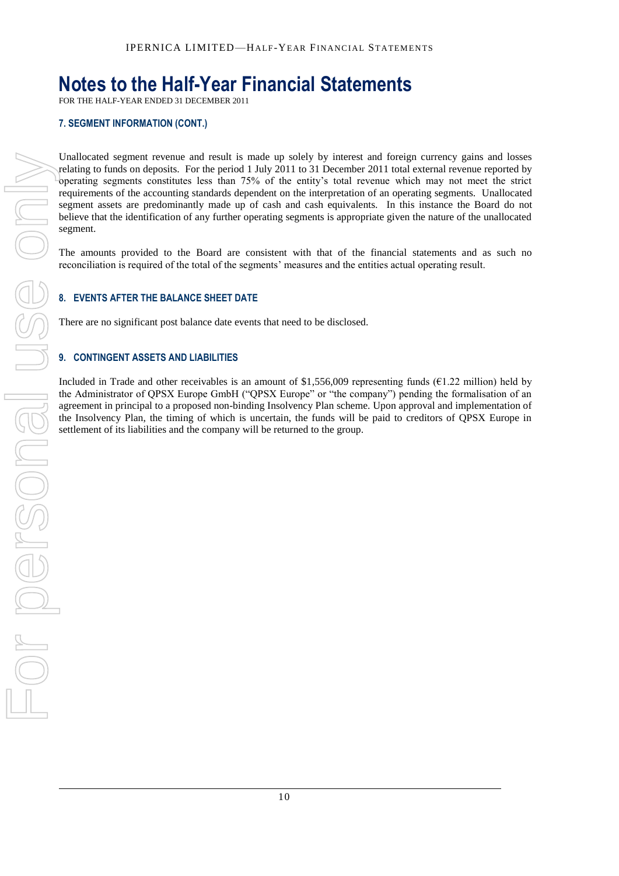## **Notes to the Half-Year Financial Statements**

FOR THE HALF-YEAR ENDED 31 DECEMBER 2011

### **7. SEGMENT INFORMATION (CONT.)**

Unallocated segment revenue and result is made up solely by interest and foreign currency gains and losses relating to funds on deposits. For the period 1 July 2011 to 31 December 2011 total external revenue reported by operating segments constitutes less than 75% of the entity's total revenue which may not meet the strict requirements of the accounting standards dependent on the interpretation of an operating segments. Unallocated segment assets are predominantly made up of cash and cash equivalents. In this instance the Board do not believe that the identification of any further operating segments is appropriate given the nature of the unallocated segment.

The amounts provided to the Board are consistent with that of the financial statements and as such no reconciliation is required of the total of the segments' measures and the entities actual operating result.

### **8. EVENTS AFTER THE BALANCE SHEET DATE**

There are no significant post balance date events that need to be disclosed.

### **9. CONTINGENT ASSETS AND LIABILITIES**

Included in Trade and other receivables is an amount of \$1,556,009 representing funds ( $E1.22$  million) held by the Administrator of QPSX Europe GmbH ("QPSX Europe" or "the company") pending the formalisation of an agreement in principal to a proposed non-binding Insolvency Plan scheme. Upon approval and implementation of the Insolvency Plan, the timing of which is uncertain, the funds will be paid to creditors of QPSX Europe in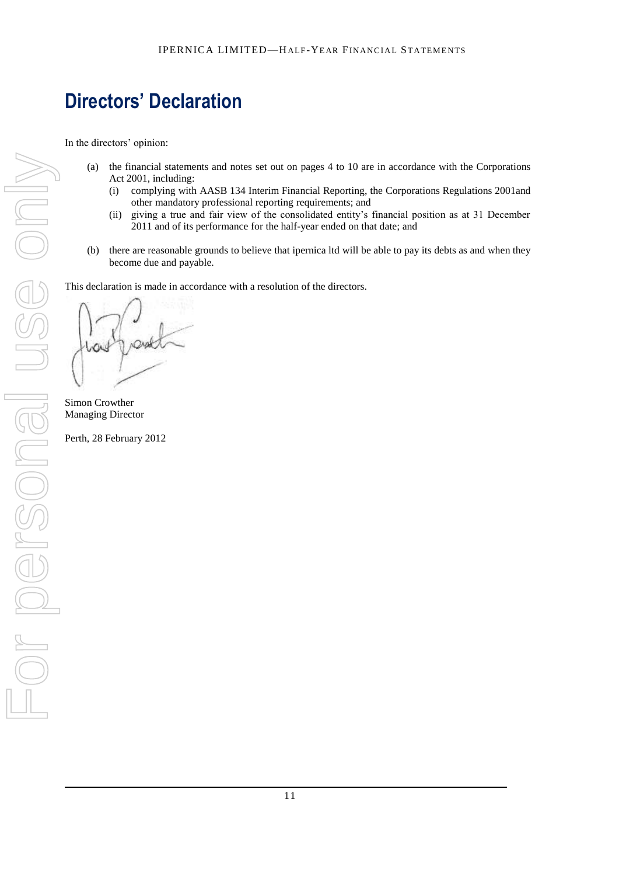# **Directors' Declaration**

In the directors' opinion:

- (a) the financial statements and notes set out on pages 4 to 10 are in accordance with the Corporations Act 2001, including:
	- (i) complying with AASB 134 Interim Financial Reporting, the Corporations Regulations 2001and other mandatory professional reporting requirements; and
	- (ii) giving a true and fair view of the consolidated entity's financial position as at 31 December 2011 and of its performance for the half-year ended on that date; and
- (b) there are reasonable grounds to believe that ipernica ltd will be able to pay its debts as and when they become due and payable.

This declaration is made in accordance with a resolution of the directors.

Simon Crowther Managing Director

Perth, 28 February 2012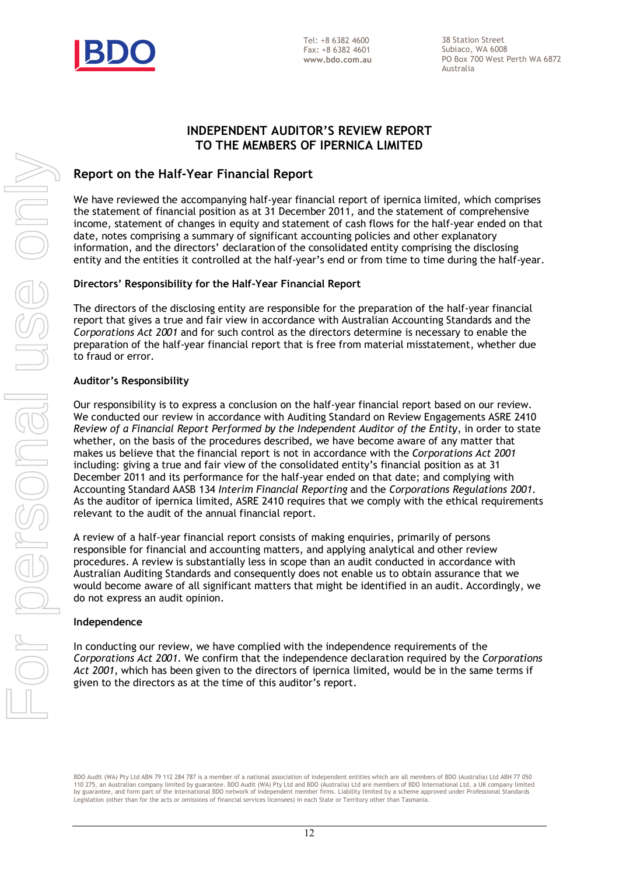

38 Station Street Subiaco, WA 6008 PO Box 700 West Perth WA 6872 Australia

### **INDEPENDENT AUDITOR'S REVIEW REPORT TO THE MEMBERS OF IPERNICA LIMITED**

### **Report on the Half-Year Financial Report**

We have reviewed the accompanying half-year financial report of ipernica limited, which comprises the statement of financial position as at 31 December 2011, and the statement of comprehensive income, statement of changes in equity and statement of cash flows for the half-year ended on that date, notes comprising a summary of significant accounting policies and other explanatory information, and the directors' declaration of the consolidated entity comprising the disclosing entity and the entities it controlled at the half-year's end or from time to time during the half-year.

### **Directors' Responsibility for the Half-Year Financial Report**

The directors of the disclosing entity are responsible for the preparation of the half-year financial report that gives a true and fair view in accordance with Australian Accounting Standards and the *Corporations Act 2001* and for such control as the directors determine is necessary to enable the preparation of the half-year financial report that is free from material misstatement, whether due to fraud or error.

### **Auditor's Responsibility**

Our responsibility is to express a conclusion on the half-year financial report based on our review. We conducted our review in accordance with Auditing Standard on Review Engagements ASRE 2410 *Review of a Financial Report Performed by the Independent Auditor of the Entity*, in order to state whether, on the basis of the procedures described, we have become aware of any matter that makes us believe that the financial report is not in accordance with the *Corporations Act 2001* including: giving a true and fair view of the consolidated entity's financial position as at 31 December 2011 and its performance for the half-year ended on that date; and complying with Accounting Standard AASB 134 *Interim Financial Reporting* and the *Corporations Regulations 2001*. As the auditor of ipernica limited, ASRE 2410 requires that we comply with the ethical requirements relevant to the audit of the annual financial report.

A review of a half-year financial report consists of making enquiries, primarily of persons responsible for financial and accounting matters, and applying analytical and other review procedures. A review is substantially less in scope than an audit conducted in accordance with Australian Auditing Standards and consequently does not enable us to obtain assurance that we would become aware of all significant matters that might be identified in an audit. Accordingly, we do not express an audit opinion.

### **Independence**

In conducting our review, we have complied with the independence requirements of the *Corporations Act 2001*. We confirm that the independence declaration required by the *Corporations Act 2001,* which has been given to the directors of ipernica limited, would be in the same terms if given to the directors as at the time of this auditor's report.

BDO Audit (WA) Pty Ltd ABN 79 112 284 787 is a member of a national association of independent entities which are all members of BDO (Australia) Ltd ABN 77 050 110 275, an Australian company limited by guarantee. BDO Audit (WA) Pty Ltd and BDO (Australia) Ltd are members of BDO International Ltd, a UK company limited<br>by guarantee, and form part of the international BDO network of Legislation (other than for the acts or omissions of financial services licensees) in each State or Territory other than Tasmania.